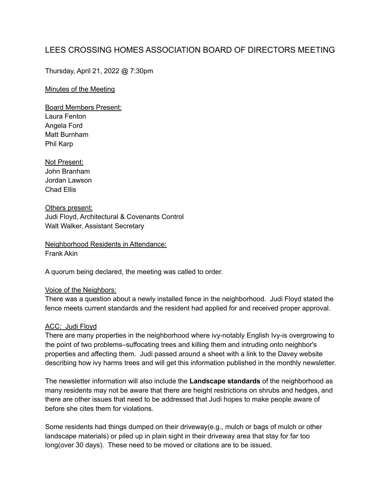# LEES CROSSING HOMES ASSOCIATION BOARD OF DIRECTORS MEETING

Thursday, April 21, 2022 @ 7:30pm

#### Minutes of the Meeting

Board Members Present: Laura Fenton Angela Ford Matt Burnham Phil Karp

Not Present: John Branham Jordan Lawson Chad Ellis

Others present: Judi Floyd, Architectural & Covenants Control Walt Walker, Assistant Secretary

Neighborhood Residents in Attendance: Frank Akin

A quorum being declared, the meeting was called to order.

#### Voice of the Neighbors:

There was a question about a newly installed fence in the neighborhood. Judi Floyd stated the fence meets current standards and the resident had applied for and received proper approval.

#### ACC: Judi Floyd

There are many properties in the neighborhood where ivy-notably English Ivy-is overgrowing to the point of two problems–suffocating trees and killing them and intruding onto neighbor's properties and affecting them. Judi passed around a sheet with a link to the Davey website describing how ivy harms trees and will get this information published in the monthly newsletter.

The newsletter information will also include the **Landscape standards** of the neighborhood as many residents may not be aware that there are height restrictions on shrubs and hedges, and there are other issues that need to be addressed that Judi hopes to make people aware of before she cites them for violations.

Some residents had things dumped on their driveway(e.g., mulch or bags of mulch or other landscape materials) or piled up in plain sight in their driveway area that stay for far too long(over 30 days). These need to be moved or citations are to be issued.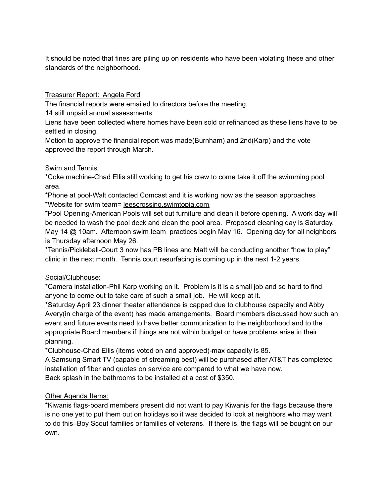It should be noted that fines are piling up on residents who have been violating these and other standards of the neighborhood.

Treasurer Report: Angela Ford

The financial reports were emailed to directors before the meeting.

14 still unpaid annual assessments.

Liens have been collected where homes have been sold or refinanced as these liens have to be settled in closing.

Motion to approve the financial report was made(Burnham) and 2nd(Karp) and the vote approved the report through March.

### Swim and Tennis:

\*Coke machine-Chad Ellis still working to get his crew to come take it off the swimming pool area.

\*Phone at pool-Walt contacted Comcast and it is working now as the season approaches \*Website for swim team= leescrossing.swimtopia.com

\*Pool Opening-American Pools will set out furniture and clean it before opening. A work day will be needed to wash the pool deck and clean the pool area. Proposed cleaning day is Saturday, May 14 @ 10am. Afternoon swim team practices begin May 16. Opening day for all neighbors is Thursday afternoon May 26.

\*Tennis/Pickleball-Court 3 now has PB lines and Matt will be conducting another "how to play" clinic in the next month. Tennis court resurfacing is coming up in the next 1-2 years.

## Social/Clubhouse:

\*Camera installation-Phil Karp working on it. Problem is it is a small job and so hard to find anyone to come out to take care of such a small job. He will keep at it.

\*Saturday April 23 dinner theater attendance is capped due to clubhouse capacity and Abby Avery(in charge of the event) has made arrangements. Board members discussed how such an event and future events need to have better communication to the neighborhood and to the appropriate Board members if things are not within budget or have problems arise in their planning.

\*Clubhouse-Chad Ellis (items voted on and approved)-max capacity is 85. A Samsung Smart TV (capable of streaming best) will be purchased after AT&T has completed installation of fiber and quotes on service are compared to what we have now.

Back splash in the bathrooms to be installed at a cost of \$350.

## Other Agenda Items:

\*Kiwanis flags-board members present did not want to pay Kiwanis for the flags because there is no one yet to put them out on holidays so it was decided to look at neighbors who may want to do this–Boy Scout families or families of veterans. If there is, the flags will be bought on our own.